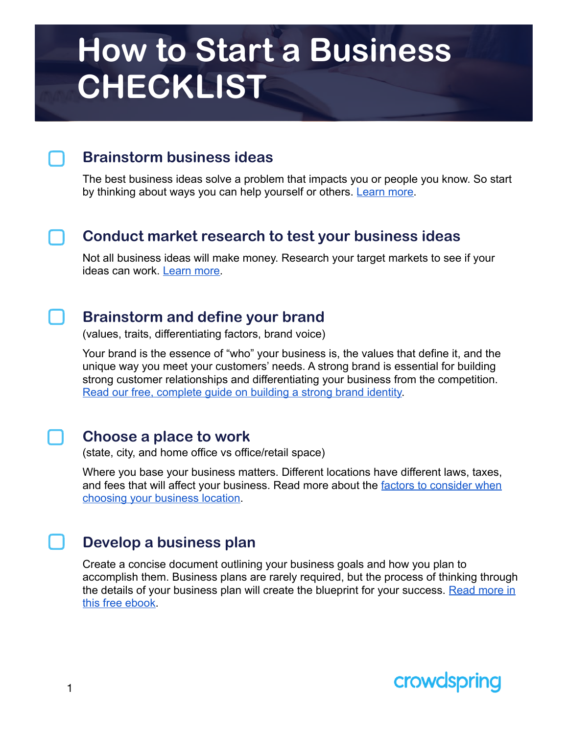### **Brainstorm business ideas**

The best business ideas solve a problem that impacts you or people you know. So start by thinking about ways you can help yourself or others. [Learn more.](https://www.crowdspring.com/blog/brainstorm-evaluate-business-ideas/)

#### **Conduct market research to test your business ideas**

Not all business ideas will make money. Research your target markets to see if your ideas can work. [Learn more](https://www.crowdspring.com/how-to-start-a-business-ebook/).



#### **Brainstorm and define your brand**

(values, traits, differentiating factors, brand voice)

Your brand is the essence of "who" your business is, the values that define it, and the unique way you meet your customers' needs. A strong brand is essential for building strong customer relationships and differentiating your business from the competition. [Read our free, complete guide on building a strong brand identity.](https://www.crowdspring.com/blog/brand-identity/)

#### **Choose a place to work**

(state, city, and home office vs office/retail space)

Where you base your business matters. Different locations have different laws, taxes, and fees that will affect your business. Read more about the factors to consider when [choosing your business location](https://www.sba.gov/business-guide/launch-your-business/pick-your-business-location).

#### **Develop a business plan**

Create a concise document outlining your business goals and how you plan to accomplish them. Business plans are rarely required, but the process of thinking through the details of your business plan will create the blueprint for your success. Read more in [this free ebook.](https://www.crowdspring.com/how-to-start-a-business-ebook/)

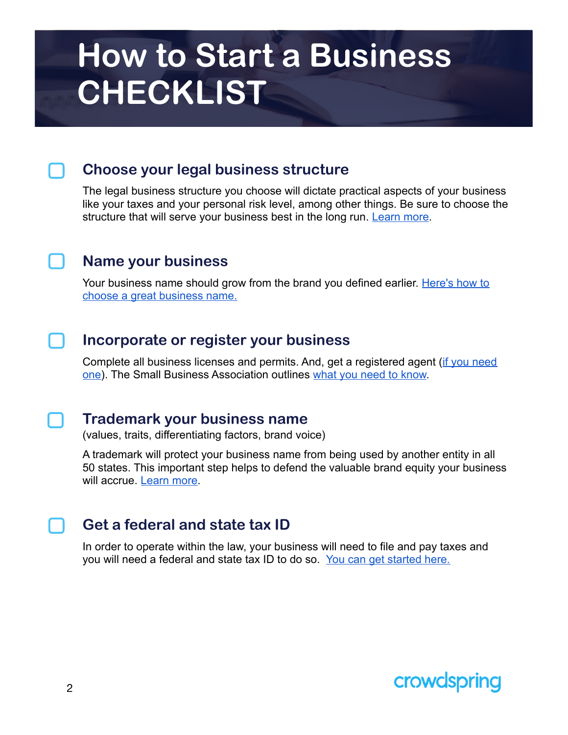#### **Choose your legal business structure**

The legal business structure you choose will dictate practical aspects of your business like your taxes and your personal risk level, among other things. Be sure to choose the structure that will serve your business best in the long run. [Learn more.](https://www.crowdspring.com/blog/how-to-start-a-business/)

#### **Name your business**

Your business name should grow from the brand you defined earlier. [Here's how to](https://www.crowdspring.com/blog/10-tips-for-startups-and-small-businesses-on-naming-your-company/)  [choose a great business name.](https://www.crowdspring.com/blog/10-tips-for-startups-and-small-businesses-on-naming-your-company/)

#### **Incorporate or register your business**

Complete all business licenses and permits. And, get a registered agent [\(if you need](https://www.score.org/resource/should-you-hire-registered-agent-or-be-your-own)  [one](https://www.score.org/resource/should-you-hire-registered-agent-or-be-your-own)). The Small Business Association outlines [what you need to know.](https://www.sba.gov/business-guide/launch-your-business/register-your-business)



#### **Trademark your business name**

(values, traits, differentiating factors, brand voice)

A trademark will protect your business name from being used by another entity in all 50 states. This important step helps to defend the valuable brand equity your business will accrue. [Learn more](https://www.crowdspring.com/blog/what-you-need-to-know-about-small-business-trademarks/).

#### **Get a federal and state tax ID**

In order to operate within the law, your business will need to file and pay taxes and you will need a federal and state tax ID to do so. [You can get started here.](https://www.sba.gov/business-guide/launch-your-business/get-federal-state-tax-id-numbers)

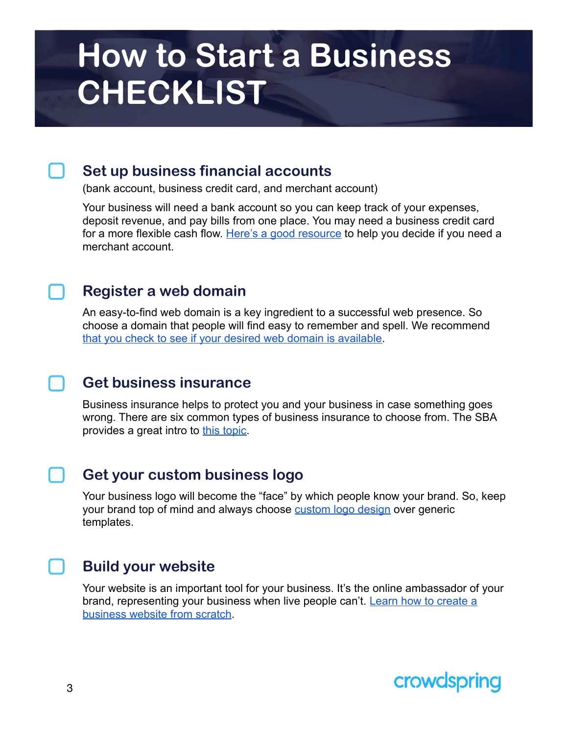#### **Set up business financial accounts**

(bank account, business credit card, and merchant account)

Your business will need a bank account so you can keep track of your expenses, deposit revenue, and pay bills from one place. You may need a business credit card for a more flexible cash flow. [Here's a good resource](https://www.fundera.com/blog/merchant-account) to help you decide if you need a merchant account.

#### **Register a web domain**

An easy-to-find web domain is a key ingredient to a successful web presence. So choose a domain that people will find easy to remember and spell. We recommend [that you check to see if your desired web domain is available.](https://www.internic.net/whois.html)

#### **Get business insurance**

Business insurance helps to protect you and your business in case something goes wrong. There are six common types of business insurance to choose from. The SBA provides a great intro to [this topic.](https://www.sba.gov/business-guide/launch-your-business/get-business-insurance)

#### **Get your custom business logo**

Your business logo will become the "face" by which people know your brand. So, keep your brand top of mind and always choose [custom logo design](https://www.crowdspring.com/logo-design/) over generic templates.

#### **Build your website**

Your website is an important tool for your business. It's the online ambassador of your brand, representing your business when live people can't. Learn how to create a [business website from scratch.](https://www.crowdspring.com/blog/small-business-website/)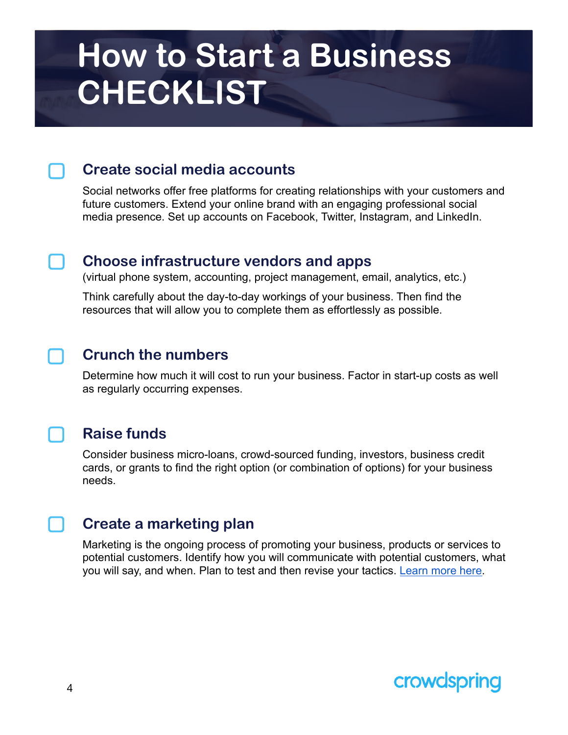#### **Create social media accounts**

Social networks offer free platforms for creating relationships with your customers and future customers. Extend your online brand with an engaging professional social media presence. Set up accounts on Facebook, Twitter, Instagram, and LinkedIn.

#### **Choose infrastructure vendors and apps**

(virtual phone system, accounting, project management, email, analytics, etc.)

Think carefully about the day-to-day workings of your business. Then find the resources that will allow you to complete them as effortlessly as possible.

### **Crunch the numbers**

Determine how much it will cost to run your business. Factor in start-up costs as well as regularly occurring expenses.

#### **Raise funds**

Consider business micro-loans, crowd-sourced funding, investors, business credit cards, or grants to find the right option (or combination of options) for your business needs.

### **Create a marketing plan**

Marketing is the ongoing process of promoting your business, products or services to potential customers. Identify how you will communicate with potential customers, what you will say, and when. Plan to test and then revise your tactics. [Learn more here.](https://www.crowdspring.com/blog/category/marketing/)

### crowdspring